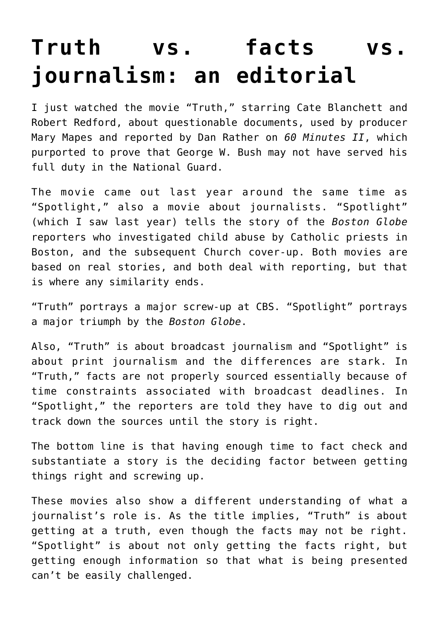## **[Truth vs. facts vs.](https://deborahbrody.com/2016/02/truth-vs-facts-vs-journalism-an-editorial/) [journalism: an editorial](https://deborahbrody.com/2016/02/truth-vs-facts-vs-journalism-an-editorial/)**

I just watched the movie ["Truth,"](https://youtu.be/MqOz8-Sto1g) starring Cate Blanchett and Robert Redford, about questionable documents, used by producer Mary Mapes and reported by Dan Rather on *60 Minutes II*, which purported to prove that George W. Bush may not have served his full duty in the National Guard.

The movie came out last year around the same time as ["Spotlight,"](https://youtu.be/Zg5zSVxx9JM) also a movie about journalists. "Spotlight" (which I saw last year) tells the story of the *Boston Globe* reporters who investigated child abuse by Catholic priests in Boston, and the subsequent Church cover-up. Both movies are based on real stories, and both deal with reporting, but that is where any similarity ends.

"Truth" portrays a major screw-up at CBS. "Spotlight" portrays a major triumph by the *Boston Globe*.

Also, "Truth" is about broadcast journalism and "Spotlight" is about print journalism and the differences are stark. In "Truth," facts are not properly sourced essentially because of time constraints associated with broadcast deadlines. In "Spotlight," the reporters are told they have to dig out and track down the sources until the story is right.

The bottom line is that having enough time to fact check and substantiate a story is the deciding factor between getting things right and screwing up.

These movies also show a different understanding of what a journalist's role is. As the title implies, "Truth" is about getting at a truth, even though the facts may not be right. "Spotlight" is about not only getting the facts right, but getting enough information so that what is being presented can't be easily challenged.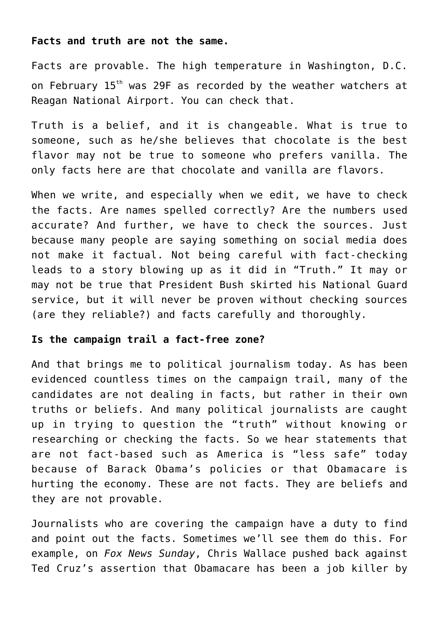## **Facts and truth are not the same.**

Facts are provable. The high temperature in Washington, D.C. on February 15th was 29F as recorded by the weather watchers at Reagan National Airport. You can check that.

Truth is a belief, and it is changeable. What is true to someone, such as he/she believes that chocolate is the best flavor may not be true to someone who prefers vanilla. The only facts here are that chocolate and vanilla are flavors.

When we write, and especially when we edit, we have to check the facts. Are names spelled correctly? Are the numbers used accurate? And further, we have to check the sources. Just because many people are saying something on social media does not make it factual. Not being careful with fact-checking leads to a story blowing up as it did in "Truth." It may or may not be true that President Bush skirted his National Guard service, but it will never be proven without checking sources (are they reliable?) and facts carefully and thoroughly.

## **Is the campaign trail a fact-free zone?**

And that brings me to political journalism today. As has been evidenced countless times on the campaign trail, many of the candidates are not dealing in facts, but rather in their own truths or beliefs. And many political journalists are caught up in trying to question the "truth" without knowing or researching or checking the facts. So we hear statements that are not fact-based such as America is "less safe" today because of Barack Obama's policies or that Obamacare is hurting the economy. These are not facts. They are beliefs and they are not provable.

Journalists who are covering the campaign have a duty to find and point out the facts. Sometimes we'll see them do this. For example, on *Fox News Sunday*, Chris Wallace pushed back against Ted Cruz's assertion that Obamacare has been a job killer by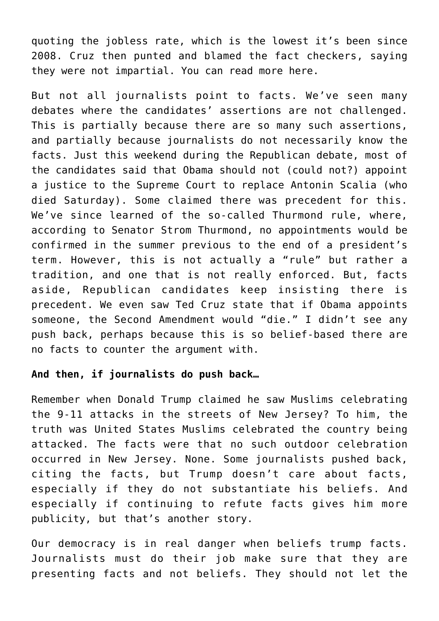quoting the jobless rate, which is the lowest it's been since 2008. Cruz then punted and blamed the fact checkers, saying they were not impartial. You can read more [here.](http://www.mediaite.com/tv/thats-changing-the-subject-chris-wallace-confronts-cruz-on-health-care-claims/)

But not all journalists point to facts. We've seen many debates where the candidates' assertions are not challenged. This is partially because there are so many such assertions, and partially because journalists do not necessarily know the facts. Just this weekend during the Republican debate, most of the candidates said that Obama should not (could not?) appoint a justice to the Supreme Court to replace Antonin Scalia (who died Saturday). Some claimed there was precedent for this. We've since learned of the so-called Thurmond rule, where, according to Senator Strom Thurmond, no appointments would be confirmed in the summer previous to the end of a president's term. However, this is not actually a "rule" but rather a tradition, and one that is not really enforced. But, facts aside, Republican candidates keep insisting there is precedent. We even saw Ted Cruz state that if Obama appoints someone, the Second Amendment would "die." I didn't see any push back, perhaps because this is so belief-based there are no facts to counter the argument with.

## **And then, if journalists do push back…**

Remember when Donald Trump claimed he saw Muslims celebrating the 9-11 attacks in the streets of New Jersey? To him, the truth was United States Muslims celebrated the country being attacked. The facts were that no such outdoor celebration occurred in New Jersey. None. Some journalists pushed back, citing the facts, but Trump doesn't care about facts, especially if they do not substantiate his beliefs. And especially if continuing to refute facts gives him more publicity, but that's another story.

Our democracy is in real danger when beliefs trump facts. Journalists must do their job make sure that they are presenting facts and not beliefs. They should not let the